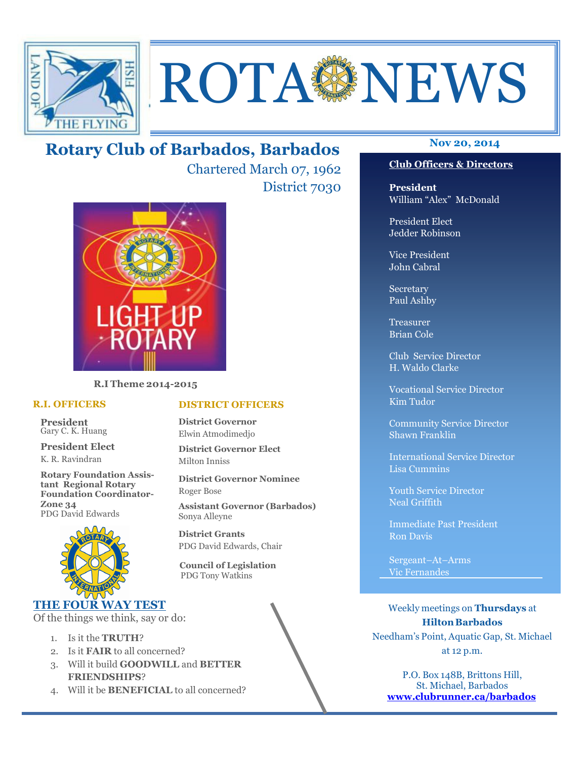

# **ROTA SENEWS**

## **Nov 20, 2014 Rotary Club of Barbados, Barbados**

Chartered March 07, 1962 District 7030



**R.I Theme 2014-2015** 

#### **R.I. OFFICERS**

**President** Gary C. K. Huang

**President Elect** K. R. Ravindran

**Rotary Foundation Assistant Regional Rotary Foundation Coordinator-Zone 34**  PDG David Edwards



#### **THE FOUR WAY TEST**

Of the things we think, say or do:

- 1. Is it the **TRUTH**?
- 2. Is it **FAIR** to all concerned?
- 3. Will it build **GOODWILL** and **BETTER FRIENDSHIPS**?
- 4. Will it be **BENEFICIAL** to all concerned?

#### **DISTRICT OFFICERS**

**District Governor** Elwin Atmodimedjo

**District Governor Elect** Milton Inniss

**District Governor Nominee**  Roger Bose

**Assistant Governor (Barbados)** Sonya Alleyne

**District Grants**  PDG David Edwards, Chair

 **Council of Legislation**  PDG Tony Watkins

#### **Club Officers & Directors**

**President** William "Alex" McDonald

President Elect Jedder Robinson

Vice President John Cabral

Secretary Paul Ashby

Treasurer Brian Cole

Club Service Director H. Waldo Clarke

Vocational Service Director Kim Tudor

Community Service Director Shawn Franklin

International Service Director Lisa Cummins

Youth Service Director Neal Griffith

Immediate Past President Ron Davis

Sergeant–At–Arms Vic Fernandes

Weekly meetings on **Thursdays** at **Hilton Barbados** Needham's Point, Aquatic Gap, St. Michael at 12 p.m.

P.O. Box 148B, Brittons Hill, St. Michael, Barbados **www.clubrunner.ca/barbados**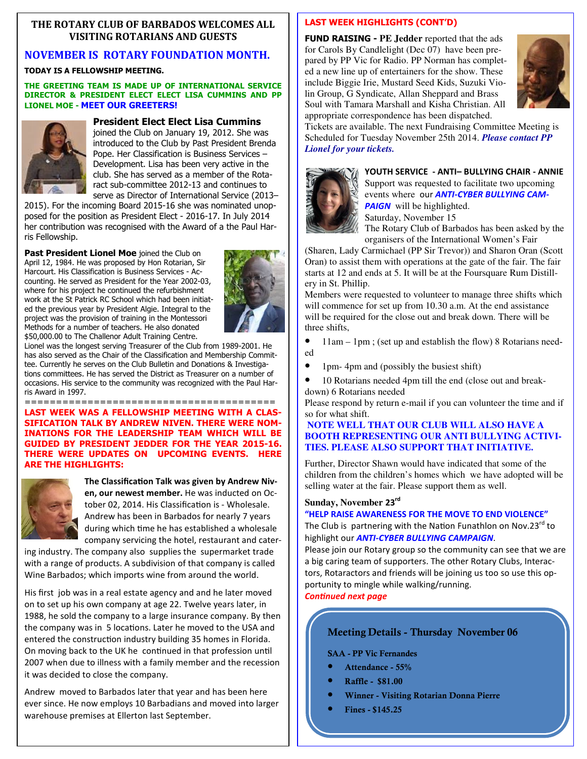#### **THE ROTARY CLUB OF BARBADOS WELCOMES ALL VISITING ROTARIANS AND GUESTS**

#### **NOVEMBER IS ROTARY FOUNDATION MONTH.**

#### **TODAY IS A FELLOWSHIP MEETING.**

#### **THE GREETING TEAM IS MADE UP OF INTERNATIONAL SERVICE DIRECTOR & PRESIDENT ELECT ELECT LISA CUMMINS AND PP LIONEL MOE - MEET OUR GREETERS!**



#### **President Elect Elect Lisa Cummins**

joined the Club on January 19, 2012. She was introduced to the Club by Past President Brenda Pope. Her Classification is Business Services – Development. Lisa has been very active in the club. She has served as a member of the Rotaract sub-committee 2012-13 and continues to serve as Director of International Service (2013–

2015). For the incoming Board 2015-16 she was nominated unopposed for the position as President Elect - 2016-17. In July 2014 her contribution was recognised with the Award of a the Paul Harris Fellowship.

**Past President Lionel Moe** joined the Club on April 12, 1984. He was proposed by Hon Rotarian, Sir Harcourt. His Classification is Business Services - Accounting. He served as President for the Year 2002-03, where for his project he continued the refurbishment work at the St Patrick RC School which had been initiated the previous year by President Algie. Integral to the project was the provision of training in the Montessori Methods for a number of teachers. He also donated \$50,000.00 to The Challenor Adult Training Centre.



Lionel was the longest serving Treasurer of the Club from 1989-2001. He has also served as the Chair of the Classification and Membership Committee. Currently he serves on the Club Bulletin and Donations & Investigations committees. He has served the District as Treasurer on a number of occasions. His service to the community was recognized with the Paul Harris Award in 1997.

======================================== **LAST WEEK WAS A FELLOWSHIP MEETING WITH A CLAS-SIFICATION TALK BY ANDREW NIVEN. THERE WERE NOM-INATIONS FOR THE LEADERSHIP TEAM WHICH WILL BE GUIDED BY PRESIDENT JEDDER FOR THE YEAR 2015-16. THERE WERE UPDATES ON UPCOMING EVENTS. HERE ARE THE HIGHLIGHTS:** 



The Classification Talk was given by Andrew Niv**en, our newest member.** He was inducted on October 02, 2014. His Classification is - Wholesale. Andrew has been in Barbados for nearly 7 years during which time he has established a wholesale company servicing the hotel, restaurant and cater-

ing industry. The company also supplies the supermarket trade with a range of products. A subdivision of that company is called Wine Barbados; which imports wine from around the world.

His first job was in a real estate agency and and he later moved on to set up his own company at age 22. Twelve years later, in 1988, he sold the company to a large insurance company. By then the company was in 5 locations. Later he moved to the USA and entered the construction industry building 35 homes in Florida. On moving back to the UK he continued in that profession until 2007 when due to illness with a family member and the recession it was decided to close the company.

Andrew moved to Barbados later that year and has been here ever since. He now employs 10 Barbadians and moved into larger warehouse premises at Ellerton last September.

#### **LAST WEEK HIGHLIGHTS (CONT'D)**

**FUND RAISING - PE Jedder** reported that the ads for Carols By Candlelight (Dec 07) have been prepared by PP Vic for Radio. PP Norman has completed a new line up of entertainers for the show. These include Biggie Irie, Mustard Seed Kids, Suzuki Violin Group, G Syndicate, Allan Sheppard and Brass Soul with Tamara Marshall and Kisha Christian. All appropriate correspondence has been dispatched.



Tickets are available. The next Fundraising Committee Meeting is Scheduled for Tuesday November 25th 2014. *Please contact PP Lionel for your tickets.* 



**YOUTH SERVICE - ANTI– BULLYING CHAIR - ANNIE**  Support was requested to facilitate two upcoming events where our *ANTI-CYBER BULLYING CAM-PAIGN* will be highlighted. Saturday, November 15

The Rotary Club of Barbados has been asked by the organisers of the International Women's Fair

(Sharen, Lady Carmichael (PP Sir Trevor)) and Sharon Oran (Scott Oran) to assist them with operations at the gate of the fair. The fair starts at 12 and ends at 5. It will be at the Foursquare Rum Distillery in St. Phillip.

Members were requested to volunteer to manage three shifts which will commence for set up from 10.30 a.m. At the end assistance will be required for the close out and break down. There will be three shifts,

• 11am – 1pm; (set up and establish the flow) 8 Rotarians needed

- 1pm- 4pm and (possibly the busiest shift)
- 10 Rotarians needed 4pm till the end (close out and breakdown) 6 Rotarians needed

Please respond by return e-mail if you can volunteer the time and if so for what shift.

#### **NOTE WELL THAT OUR CLUB WILL ALSO HAVE A BOOTH REPRESENTING OUR ANTI BULLYING ACTIVI-TIES. PLEASE ALSO SUPPORT THAT INITIATIVE.**

Further, Director Shawn would have indicated that some of the children from the children's homes which we have adopted will be selling water at the fair. Please support them as well.

#### **Sunday, November 23rd**

**"HELP RAISE AWARENESS FOR THE MOVE TO END VIOLENCE"**

The Club is partnering with the Nation Funathlon on Nov.23 $^{\text{rd}}$  to highlight our *ANTI-CYBER BULLYING CAMPAIGN*.

Please join our Rotary group so the community can see that we are a big caring team of supporters. The other Rotary Clubs, Interactors, Rotaractors and friends will be joining us too so use this opportunity to mingle while walking/running.

**Continued next page** 

#### **Meeting Details - Thursday November 06**

**SAA - PP Vic Fernandes** 

- **Attendance 55%**
- **Raffle \$81.00**
- **Winner Visiting Rotarian Donna Pierre**
- **Fines \$145.25**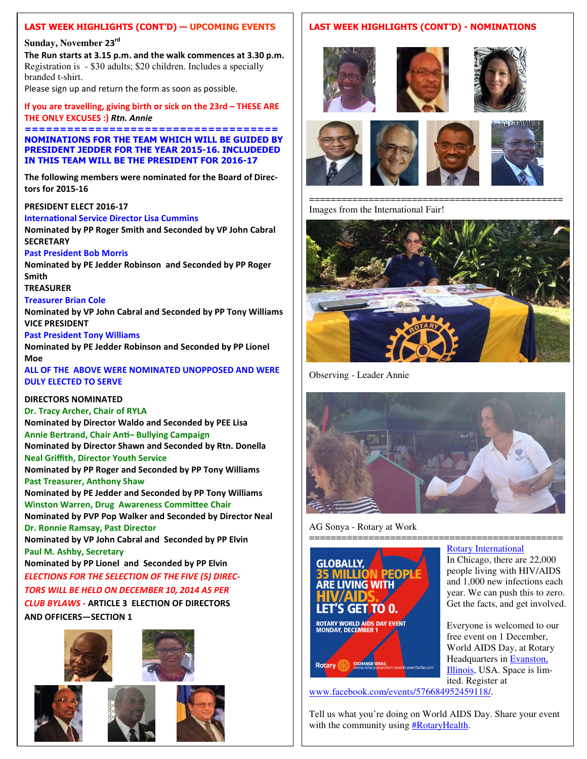#### **LAST WEEK HIGHLIGHTS (CONT'D) — UPCOMING EVENTS**

#### **Sunday, November 23rd**

**The Run starts at 3.15 p.m. and the walk commences at 3.30 p.m.** Registration is - \$30 adults; \$20 children. Includes a specially branded t-shirt.

Please sign up and return the form as soon as possible.

**If you are travelling, giving birth or sick on the 23rd – THESE ARE THE ONLY EXCUSES :)** *Rtn. Annie* 

**==================================== NOMINATIONS FOR THE TEAM WHICH WILL BE GUIDED BY PRESIDENT JEDDER FOR THE YEAR 2015-16. INCLUDEDED IN THIS TEAM WILL BE THE PRESIDENT FOR 2016-17** 

**The following members were nominated for the Board of Directors for 2015-16** 

#### **PRESIDENT ELECT 2016-17**

#### **International Service Director Lisa Cummins**

**Nominated by PP Roger Smith and Seconded by VP John Cabral SECRETARY** 

#### **Past President Bob Morris**

**Nominated by PE Jedder Robinson and Seconded by PP Roger Smith** 

**TREASURER** 

#### **Treasurer Brian Cole**

**Nominated by VP John Cabral and Seconded by PP Tony Williams VICE PRESIDENT** 

#### **Past President Tony Williams**

**Nominated by PE Jedder Robinson and Seconded by PP Lionel Moe** 

**ALL OF THE ABOVE WERE NOMINATED UNOPPOSED AND WERE DULY ELECTED TO SERVE** 

#### **DIRECTORS NOMINATED**

#### **Dr. Tracy Archer, Chair of RYLA**

**Nominated by Director Waldo and Seconded by PEE Lisa Annie Bertrand, Chair An– Bullying Campaign Nominated by Director Shawn and Seconded by Rtn. Donella Neal Griffith, Director Youth Service** 

**Nominated by PP Roger and Seconded by PP Tony Williams Past Treasurer, Anthony Shaw** 

**Nominated by PE Jedder and Seconded by PP Tony Williams Winston Warren, Drug Awareness Committee Chair** 

**Nominated by PVP Pop Walker and Seconded by Director Neal Dr. Ronnie Ramsay, Past Director** 

**Nominated by VP John Cabral and Seconded by PP Elvin Paul M. Ashby, Secretary** 

**Nominated by PP Lionel and Seconded by PP Elvin**  *ELECTIONS FOR THE SELECTION OF THE FIVE (5) DIREC-*

#### *TORS WILL BE HELD ON DECEMBER 10, 2014 AS PER*

*CLUB BYLAWS -* **ARTICLE 3 ELECTION OF DIRECTORS AND OFFICERS—SECTION 1** 





#### **LAST WEEK HIGHLIGHTS (CONT'D) - NOMINATIONS**



=============================================== Images from the International Fair!



Observing - Leader Annie



AG Sonya - Rotary at Work



# Rotary

ited. Register at www.facebook.com/events/576684952459118/.

Tell us what you're doing on World AIDS Day. Share your event with the community using **#RotaryHealth**.

=============================================== Rotary International

> In Chicago, there are 22,000 people living with HIV/AIDS and 1,000 new infections each year. We can push this to zero. Get the facts, and get involved.

Everyone is welcomed to our free event on 1 December, World AIDS Day, at Rotary Headquarters in Evanston, Illinois, USA. Space is lim-